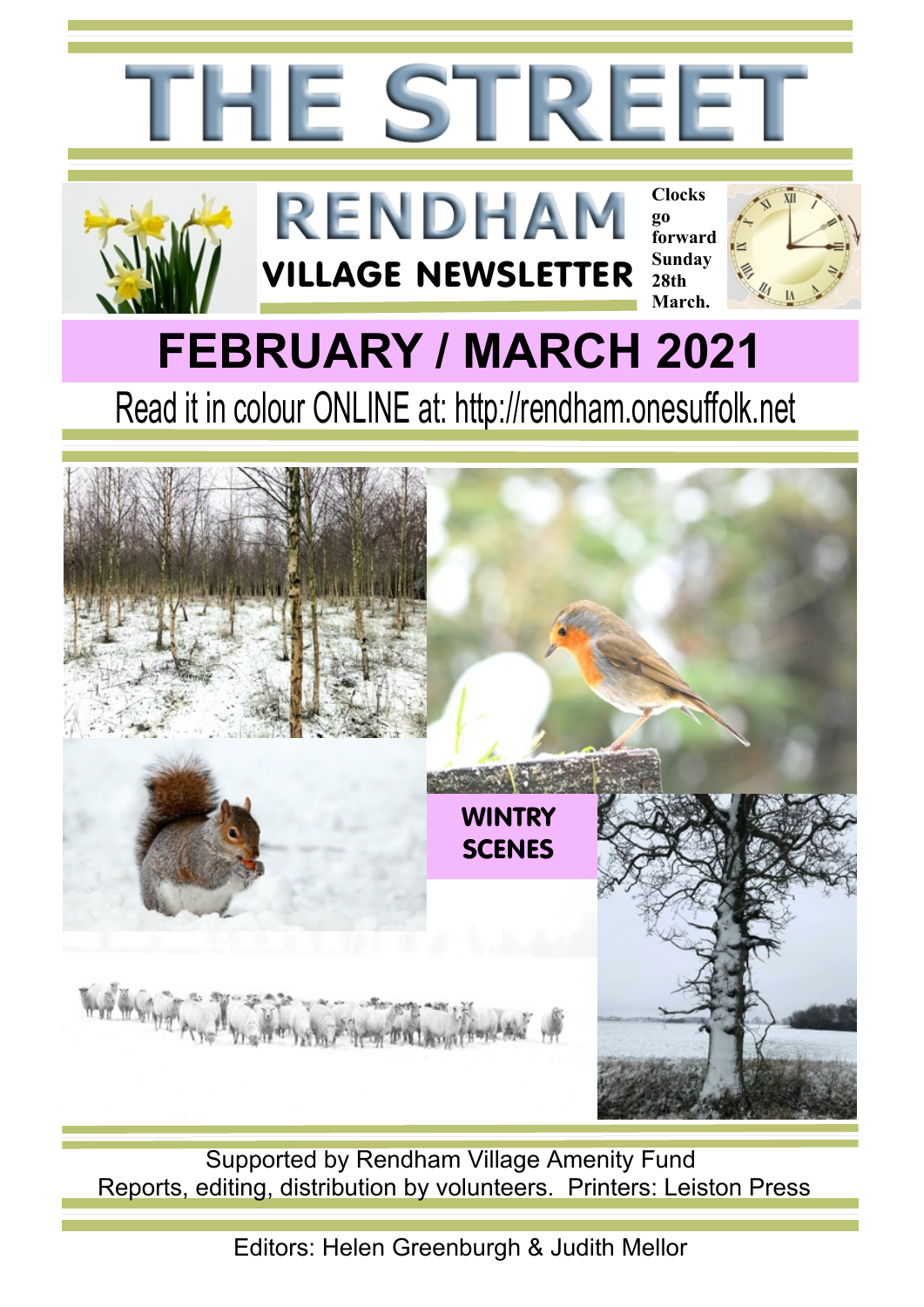

Supported by Rendham Village Amenity Fund Reports, editing, distribution by volunteers. Printers: Leiston Press

Editors: Helen Greenburgh & Judith Mellor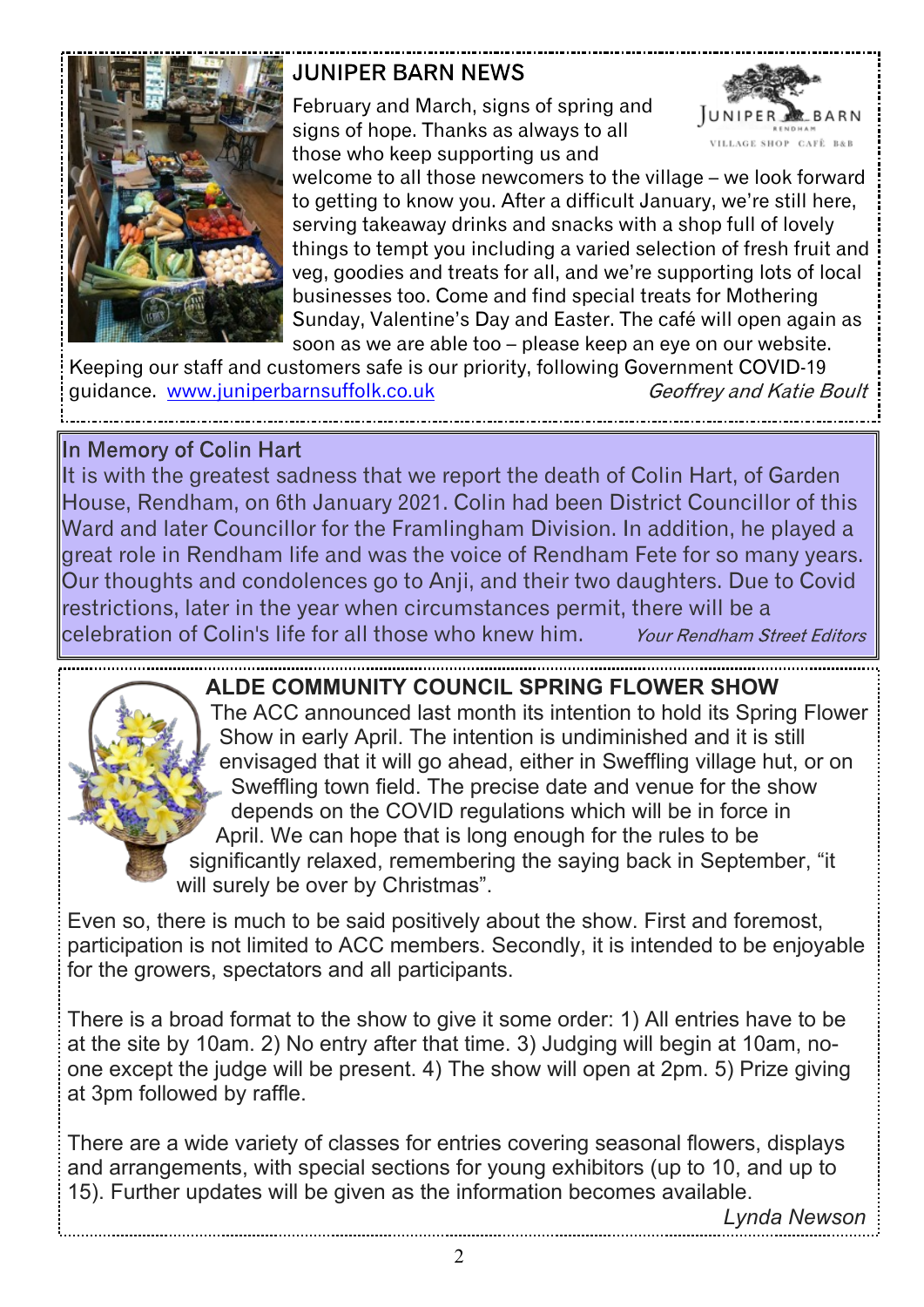

#### **JUNIPER BARN NEWS**

February and March, signs of spring and signs of hope. Thanks as always to all those who keep supporting us and



welcome to all those newcomers to the village – we look forward to getting to know you. After a difficult January, we're still here, serving takeaway drinks and snacks with a shop full of lovely things to tempt you including a varied selection of fresh fruit and veg, goodies and treats for all, and we're supporting lots of local businesses too. Come and find special treats for Mothering Sunday, Valentine's Day and Easter. The café will open again as soon as we are able too – please keep an eye on our website.

Keeping our staff and customers safe is our priority, following Government COVID-19 guidance. [www.juniperbarnsuffolk.co.uk](www.juniperbarnsuffolk.co.uk ) Geoffrey and Katie Boult

#### In Memory of Colin Hart

It is with the greatest sadness that we report the death of Colin Hart, of Garden House, Rendham, on 6th January 2021. Colin had been District Councillor of this Ward and later Councillor for the Framlingham Division. In addition, he played a great role in Rendham life and was the voice of Rendham Fete for so many years. Our thoughts and condolences go to Anji, and their two daughters. Due to Covid restrictions, later in the year when circumstances permit, there will be a celebration of Colin's life for all those who knew him.Your Rendham Street Editors

#### **ALDE COMMUNITY COUNCIL SPRING FLOWER SHOW**

The ACC announced last month its intention to hold its Spring Flower Show in early April. The intention is undiminished and it is still envisaged that it will go ahead, either in Sweffling village hut, or on Sweffling town field. The precise date and venue for the show depends on the COVID regulations which will be in force in April. We can hope that is long enough for the rules to be significantly relaxed, remembering the saying back in September, "it will surely be over by Christmas".

Even so, there is much to be said positively about the show. First and foremost, participation is not limited to ACC members. Secondly, it is intended to be enjoyable for the growers, spectators and all participants.

There is a broad format to the show to give it some order: 1) All entries have to be at the site by 10am. 2) No entry after that time. 3) Judging will begin at 10am, noone except the judge will be present. 4) The show will open at 2pm. 5) Prize giving at 3pm followed by raffle.

There are a wide variety of classes for entries covering seasonal flowers, displays and arrangements, with special sections for young exhibitors (up to 10, and up to 15). Further updates will be given as the information becomes available.

*Lynda Newson*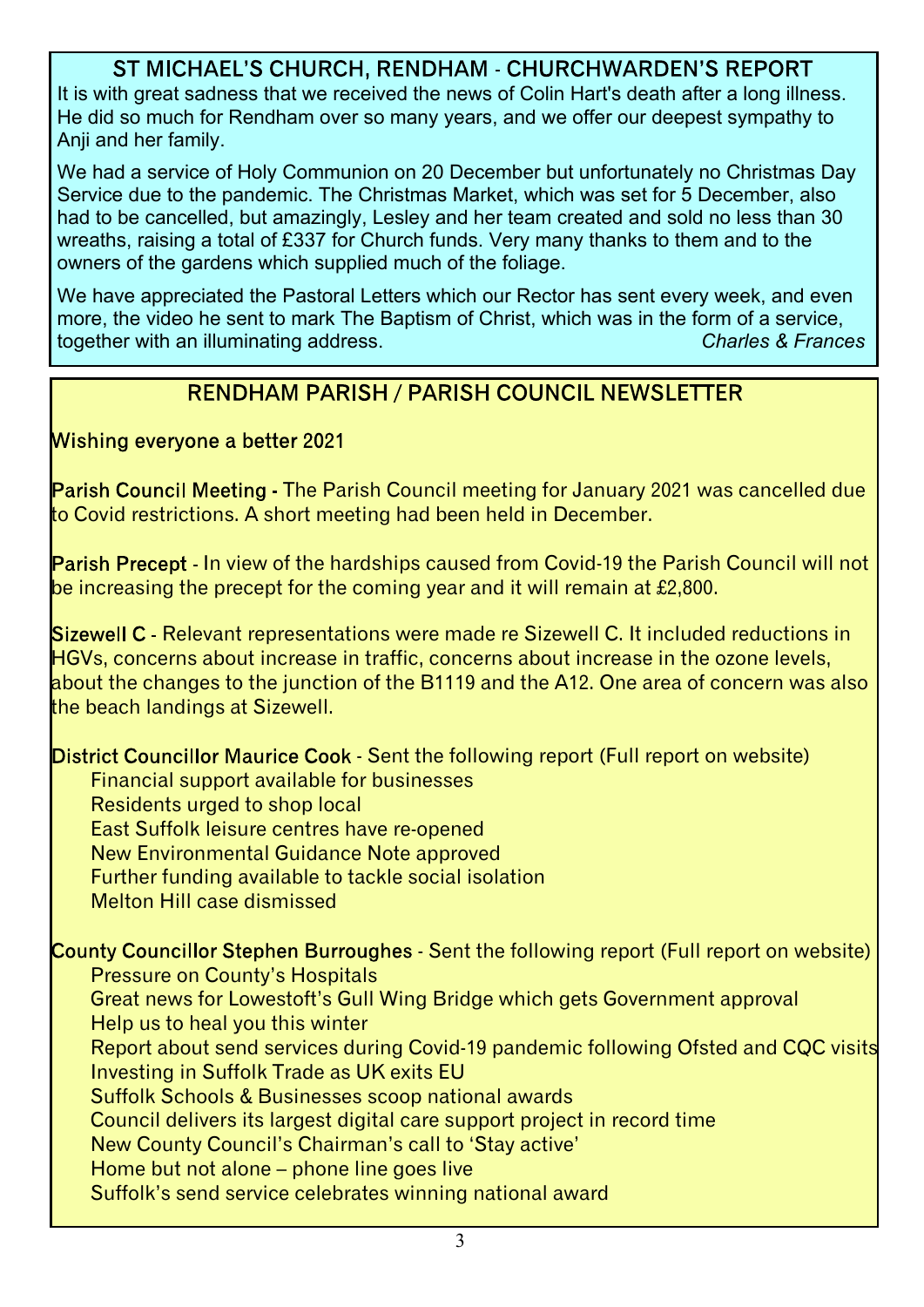#### ST MICHAEL'S CHURCH, RENDHAM - CHURCHWARDEN'S REPORT

It is with great sadness that we received the news of Colin Hart's death after a long illness. He did so much for Rendham over so many years, and we offer our deepest sympathy to Anii and her family.

We had a service of Holy Communion on 20 December but unfortunately no Christmas Day Service due to the pandemic. The Christmas Market, which was set for 5 December, also had to be cancelled, but amazingly, Lesley and her team created and sold no less than 30 wreaths, raising a total of £337 for Church funds. Very many thanks to them and to the owners of the gardens which supplied much of the foliage.

We have appreciated the Pastoral Letters which our Rector has sent every week, and even more, the video he sent to mark The Baptism of Christ, which was in the form of a service, together with an illuminating address. *Charles & Frances*

#### **RENDHAM PARISH / PARISH COUNCIL NEWSLETTER**

Wishing everyone a better 2021

**Parish Council Meeting - The Parish Council meeting for January 2021 was cancelled due** to Covid restrictions. A short meeting had been held in December.

Parish Precept - In view of the hardships caused from Covid-19 the Parish Council will not be increasing the precept for the coming year and it will remain at £2,800.

**Sizewell C** - Relevant representations were made re Sizewell C. It included reductions in HGVs, concerns about increase in traffic, concerns about increase in the ozone levels, about the changes to the junction of the B1119 and the A12. One area of concern was also the beach landings at Sizewell.

District Councillor Maurice Cook - Sent the following report (Full report on website) Financial support available for businesses Residents urged to shop local East Suffolk leisure centres have re-opened New Environmental Guidance Note approved Further funding available to tackle social isolation Melton Hill case dismissed

County Councillor Stephen Burroughes - Sent the following report (Full report on website) Pressure on County's Hospitals

 Great news for Lowestoft's Gull Wing Bridge which gets Government approval Help us to heal you this winter

 Report about send services during Covid-19 pandemic following Ofsted and CQC visits Investing in Suffolk Trade as UK exits EU

Suffolk Schools & Businesses scoop national awards

Council delivers its largest digital care support project in record time

New County Council's Chairman's call to 'Stay active'

Home but not alone – phone line goes live

Suffolk's send service celebrates winning national award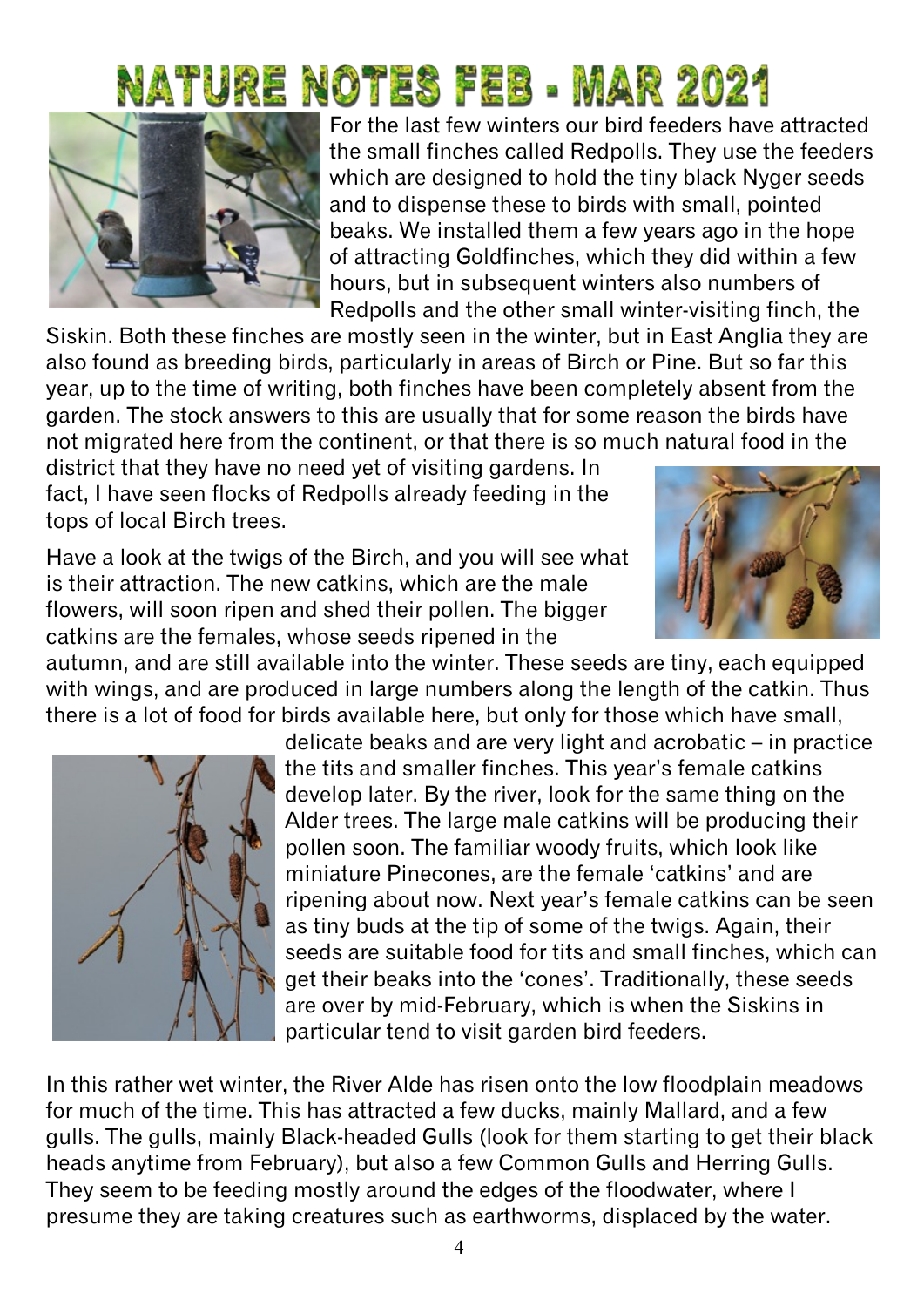# Nature Notes feb - Mar 2021



For the last few winters our bird feeders have attracted the small finches called Redpolls. They use the feeders which are designed to hold the tiny black Nyger seeds and to dispense these to birds with small, pointed beaks. We installed them a few years ago in the hope of attracting Goldfinches, which they did within a few hours, but in subsequent winters also numbers of Redpolls and the other small winter-visiting finch, the

Siskin. Both these finches are mostly seen in the winter, but in East Anglia they are also found as breeding birds, particularly in areas of Birch or Pine. But so far this year, up to the time of writing, both finches have been completely absent from the garden. The stock answers to this are usually that for some reason the birds have not migrated here from the continent, or that there is so much natural food in the

district that they have no need yet of visiting gardens. In fact, I have seen flocks of Redpolls already feeding in the tops of local Birch trees.

Have a look at the twigs of the Birch, and you will see what is their attraction. The new catkins, which are the male flowers, will soon ripen and shed their pollen. The bigger catkins are the females, whose seeds ripened in the



autumn, and are still available into the winter. These seeds are tiny, each equipped with wings, and are produced in large numbers along the length of the catkin. Thus there is a lot of food for birds available here, but only for those which have small,



delicate beaks and are very light and acrobatic – in practice the tits and smaller finches. This year's female catkins develop later. By the river, look for the same thing on the Alder trees. The large male catkins will be producing their pollen soon. The familiar woody fruits, which look like miniature Pinecones, are the female 'catkins' and are ripening about now. Next year's female catkins can be seen as tiny buds at the tip of some of the twigs. Again, their seeds are suitable food for tits and small finches, which can get their beaks into the 'cones'. Traditionally, these seeds are over by mid-February, which is when the Siskins in particular tend to visit garden bird feeders.

In this rather wet winter, the River Alde has risen onto the low floodplain meadows for much of the time. This has attracted a few ducks, mainly Mallard, and a few gulls. The gulls, mainly Black-headed Gulls (look for them starting to get their black heads anytime from February), but also a few Common Gulls and Herring Gulls. They seem to be feeding mostly around the edges of the floodwater, where I presume they are taking creatures such as earthworms, displaced by the water.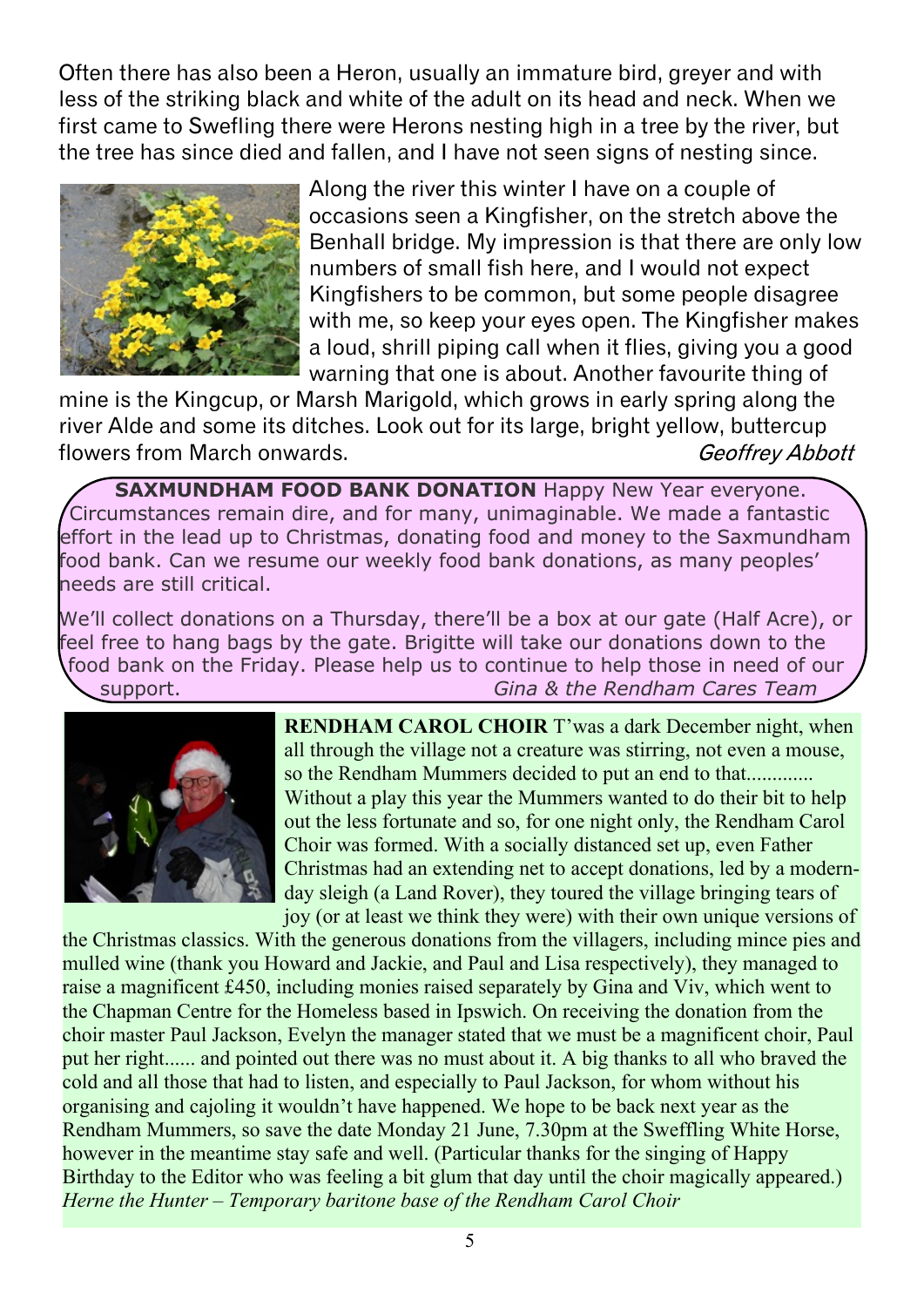Often there has also been a Heron, usually an immature bird, greyer and with less of the striking black and white of the adult on its head and neck. When we first came to Swefling there were Herons nesting high in a tree by the river, but the tree has since died and fallen, and I have not seen signs of nesting since.



Along the river this winter I have on a couple of occasions seen a Kingfisher, on the stretch above the Benhall bridge. My impression is that there are only low numbers of small fish here, and I would not expect Kingfishers to be common, but some people disagree with me, so keep your eyes open. The Kingfisher makes a loud, shrill piping call when it flies, giving you a good warning that one is about. Another favourite thing of

mine is the Kingcup, or Marsh Marigold, which grows in early spring along the river Alde and some its ditches. Look out for its large, bright yellow, buttercup flowers from March onwards. Geoffrey Abbott

**SAXMUNDHAM FOOD BANK DONATION** Happy New Year everyone. Circumstances remain dire, and for many, unimaginable. We made a fantastic effort in the lead up to Christmas, donating food and money to the Saxmundham food bank. Can we resume our weekly food bank donations, as many peoples' needs are still critical.

We'll collect donations on a Thursday, there'll be a box at our gate (Half Acre), or feel free to hang bags by the gate. Brigitte will take our donations down to the food bank on the Friday. Please help us to continue to help those in need of our support. *Gina & the Rendham Cares Team*



**RENDHAM CAROL CHOIR** T'was a dark December night, when all through the village not a creature was stirring, not even a mouse, so the Rendham Mummers decided to put an end to that............. Without a play this year the Mummers wanted to do their bit to help out the less fortunate and so, for one night only, the Rendham Carol Choir was formed. With a socially distanced set up, even Father Christmas had an extending net to accept donations, led by a modernday sleigh (a Land Rover), they toured the village bringing tears of joy (or at least we think they were) with their own unique versions of

the Christmas classics. With the generous donations from the villagers, including mince pies and mulled wine (thank you Howard and Jackie, and Paul and Lisa respectively), they managed to raise a magnificent £450, including monies raised separately by Gina and Viv, which went to the Chapman Centre for the Homeless based in Ipswich. On receiving the donation from the choir master Paul Jackson, Evelyn the manager stated that we must be a magnificent choir, Paul put her right...... and pointed out there was no must about it. A big thanks to all who braved the cold and all those that had to listen, and especially to Paul Jackson, for whom without his organising and cajoling it wouldn't have happened. We hope to be back next year as the Rendham Mummers, so save the date Monday 21 June, 7.30pm at the Sweffling White Horse, however in the meantime stay safe and well. (Particular thanks for the singing of Happy Birthday to the Editor who was feeling a bit glum that day until the choir magically appeared.) *Herne the Hunter – Temporary baritone base of the Rendham Carol Choir*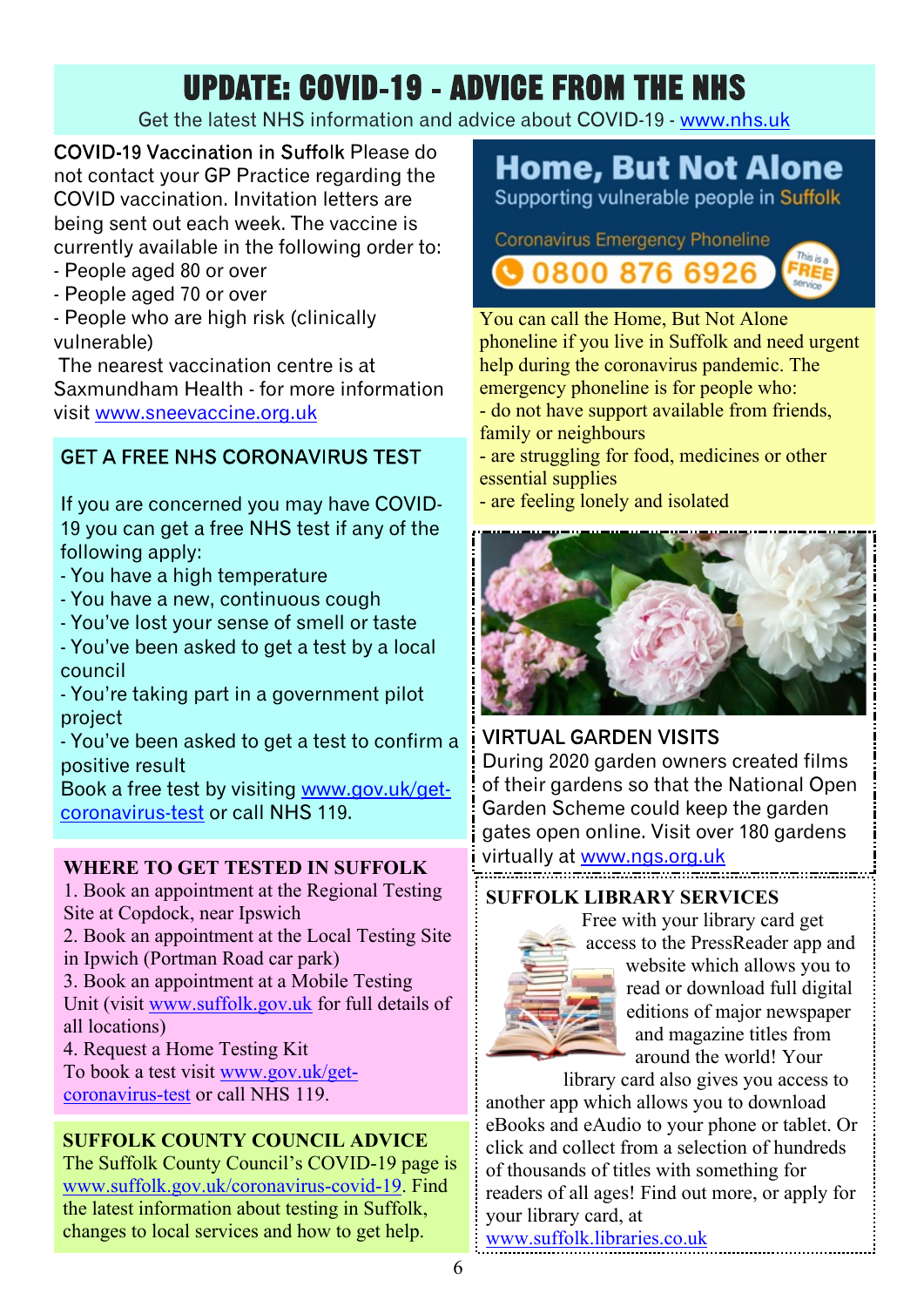## **UPDATE: COVID-19 - ADVICE FROM THE NHS**

#### Get the latest NHS information and advice about COVID-19 - <www.nhs.uk>

COVID-19 Vaccination in Suffolk Please do not contact your GP Practice regarding the COVID vaccination. Invitation letters are being sent out each week. The vaccine is currently available in the following order to:

- People aged 80 or over
- People aged 70 or over

- People who are high risk (clinically vulnerable)

 The nearest vaccination centre is at Saxmundham Health - for more information visit <www.sneevaccine.org.uk>

#### **GET A FREE NHS CORONAVIRUS TEST**

If you are concerned you may have COVID-19 you can get a free NHS test if any of the following apply:

- You have a high temperature
- You have a new, continuous cough
- You've lost your sense of smell or taste

- You've been asked to get a test by a local council

- You're taking part in a government pilot project

- You've been asked to get a test to confirm a positive result

Book a free test by visiting [www.gov.uk/get](www.gov.uk/get-coronavirus-test)[coronavirus-test](www.gov.uk/get-coronavirus-test) or call NHS 119.

#### **WHERE TO GET TESTED IN SUFFOLK**

1. Book an appointment at the Regional Testing Site at Copdock, near Ipswich

2. Book an appointment at the Local Testing Site

- in Ipwich (Portman Road car park)
- 3. Book an appointment at a Mobile Testing

Unit (visit [www.suffolk.gov.uk](www.suffolk.gov.uk ) for full details of all locations)

4. Request a Home Testing Kit

To book a test visit [www.gov.uk/get](www.gov.uk/get-coronavirus-test)[coronavirus-test](www.gov.uk/get-coronavirus-test) or call NHS 119.

#### **SUFFOLK COUNTY COUNCIL ADVICE**

The Suffolk County Council's COVID-19 page is <www.suffolk.gov.uk/coronavirus-covid-19>. Find the latest information about testing in Suffolk, changes to local services and how to get help.

### **Home, But Not Alone**

Supporting vulnerable people in Suffolk

**Coronavirus Emergency Phoneline** 0800 876 6926





help during the coronavirus pandemic. The emergency phoneline is for people who: - do not have support available from friends,

- family or neighbours
- are struggling for food, medicines or other essential supplies
- are feeling lonely and isolated



#### **VIRTUAL GARDEN VISITS**

During 2020 garden owners created films of their gardens so that the National Open Garden Scheme could keep the garden gates open online. Visit over 180 gardens virtually at <www.ngs.org.uk>

#### **SUFFOLK LIBRARY SERVICES**



Free with your library card get access to the PressReader app and website which allows you to read or download full digital editions of major newspaper and magazine titles from around the world! Your

library card also gives you access to another app which allows you to download eBooks and eAudio to your phone or tablet. Or click and collect from a selection of hundreds of thousands of titles with something for readers of all ages! Find out more, or apply for your library card, at

<www.suffolk.libraries.co.uk>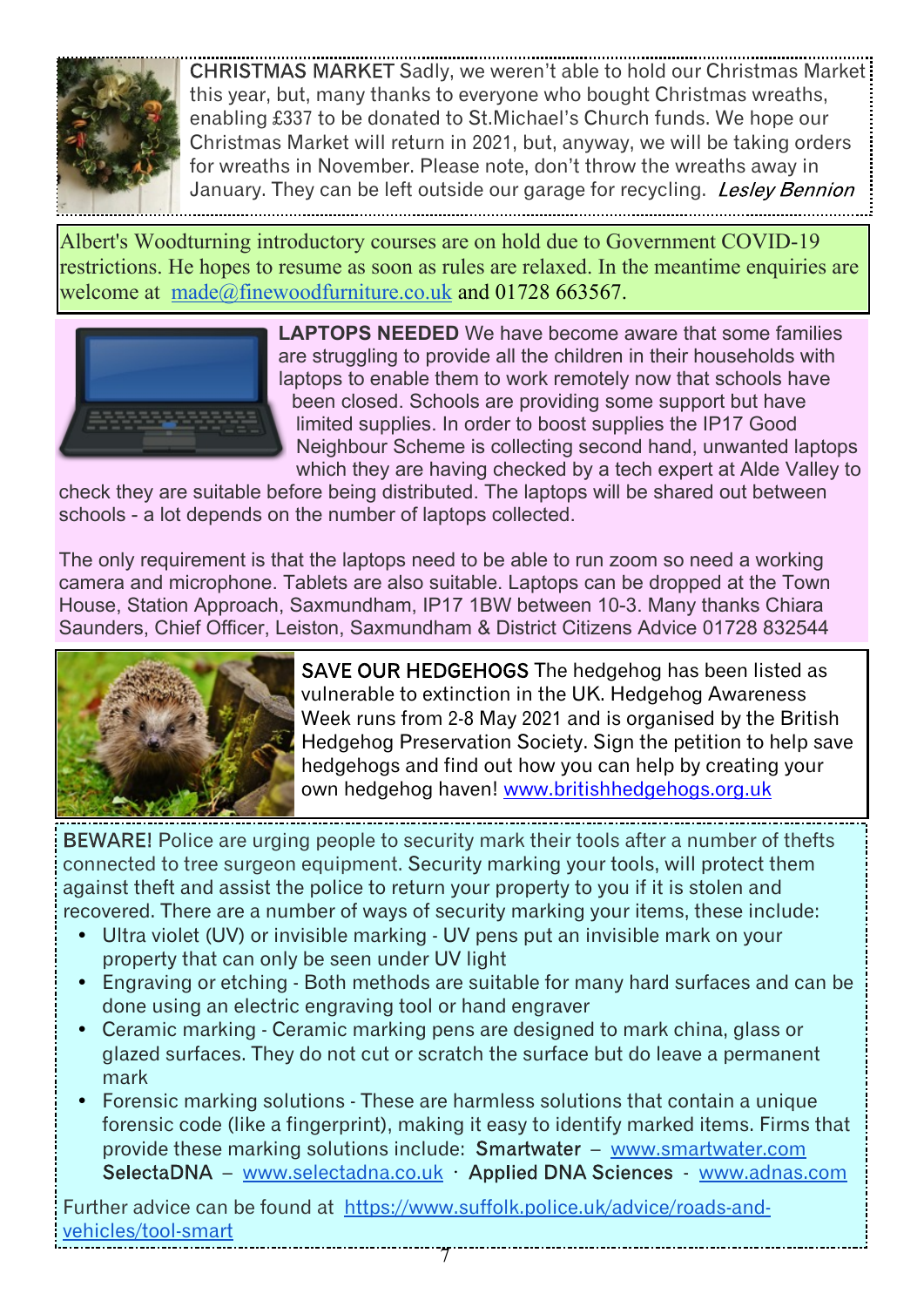

CHRISTMAS MARKET Sadly, we weren't able to hold our Christmas Market: this year, but, many thanks to everyone who bought Christmas wreaths, enabling £337 to be donated to St.Michael's Church funds. We hope our Christmas Market will return in 2021, but, anyway, we will be taking orders for wreaths in November. Please note, don't throw the wreaths away in January. They can be left outside our garage for recycling. Lesley Bennion

Albert's Woodturning introductory courses are on hold due to Government COVID-19 restrictions. He hopes to resume as soon as rules are relaxed. In the meantime enquiries are welcome at made@finewoodfurniture.co.uk and 01728 663567.



**LAPTOPS NEEDED** We have become aware that some families are struggling to provide all the children in their households with laptops to enable them to work remotely now that schools have been closed. Schools are providing some support but have limited supplies. In order to boost supplies the IP17 Good Neighbour Scheme is collecting second hand, unwanted laptops which they are having checked by a tech expert at Alde Valley to

check they are suitable before being distributed. The laptops will be shared out between schools - a lot depends on the number of laptops collected.

The only requirement is that the laptops need to be able to run zoom so need a working camera and microphone. Tablets are also suitable. Laptops can be dropped at the Town House, Station Approach, Saxmundham, IP17 1BW between 10-3. Many thanks Chiara Saunders, Chief Officer, Leiston, Saxmundham & District Citizens Advice 01728 832544



SAVE OUR HEDGEHOGS The hedgehog has been listed as vulnerable to extinction in the UK. Hedgehog Awareness Week runs from 2-8 May 2021 and is organised by the British Hedgehog Preservation Society. Sign the petition to help save hedgehogs and find out how you can help by creating your own hedgehog haven! <www.britishhedgehogs.org.uk>

BEWARE! Police are urging people to security mark their tools after a number of thefts connected to tree surgeon equipment. Security marking your tools, will protect them against theft and assist the police to return your property to you if it is stolen and recovered. There are a number of ways of security marking your items, these include:

- Ultra violet (UV) or invisible marking UV pens put an invisible mark on your property that can only be seen under UV light
- ü Engraving or etching Both methods are suitable for many hard surfaces and can be done using an electric engraving tool or hand engraver
- Ceramic marking Ceramic marking pens are designed to mark china, glass or glazed surfaces. They do not cut or scratch the surface but do leave a permanent mark
- ü Forensic marking solutions These are harmless solutions that contain a unique forensic code (like a fingerprint), making it easy to identify marked items. Firms that provide these marking solutions include: Smartwater - www.smartwater.com  $SelectaDNA - www.selectadna.co.uk - Applied DNA Sciences - www.adnas.com$

Further advice can be found at https://www.suffolk.police.uk/advice/roads-andvehicles/tool-smart